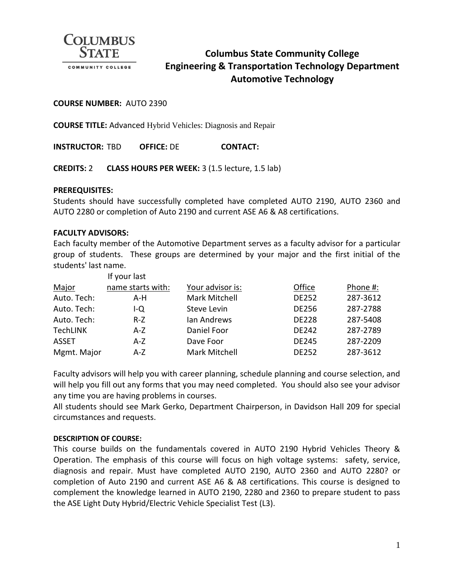

# **Columbus State Community College Engineering & Transportation Technology Department Automotive Technology**

#### **COURSE NUMBER:** AUTO 2390

**COURSE TITLE:** Advanced Hybrid Vehicles: Diagnosis and Repair

**INSTRUCTOR:** TBD **OFFICE:** DE **CONTACT:**

**CREDITS:** 2 **CLASS HOURS PER WEEK:** 3 (1.5 lecture, 1.5 lab)

#### **PREREQUISITES:**

Students should have successfully completed have completed AUTO 2190, AUTO 2360 and AUTO 2280 or completion of Auto 2190 and current ASE A6 & A8 certifications.

#### **FACULTY ADVISORS:**

Each faculty member of the Automotive Department serves as a faculty advisor for a particular group of students. These groups are determined by your major and the first initial of the students' last name.

|                 | If your last      |                  |              |          |
|-----------------|-------------------|------------------|--------------|----------|
| Major           | name starts with: | Your advisor is: | Office       | Phone #: |
| Auto. Tech:     | A-H               | Mark Mitchell    | <b>DE252</b> | 287-3612 |
| Auto. Tech:     | I-Q               | Steve Levin      | <b>DE256</b> | 287-2788 |
| Auto. Tech:     | $R-Z$             | Ian Andrews      | <b>DE228</b> | 287-5408 |
| <b>TechLINK</b> | A-Z               | Daniel Foor      | <b>DE242</b> | 287-2789 |
| <b>ASSET</b>    | A-Z               | Dave Foor        | <b>DE245</b> | 287-2209 |
| Mgmt. Major     | $A-Z$             | Mark Mitchell    | <b>DE252</b> | 287-3612 |

Faculty advisors will help you with career planning, schedule planning and course selection, and will help you fill out any forms that you may need completed. You should also see your advisor any time you are having problems in courses.

All students should see Mark Gerko, Department Chairperson, in Davidson Hall 209 for special circumstances and requests.

#### **DESCRIPTION OF COURSE:**

This course builds on the fundamentals covered in AUTO 2190 Hybrid Vehicles Theory & Operation. The emphasis of this course will focus on high voltage systems: safety, service, diagnosis and repair. Must have completed AUTO 2190, AUTO 2360 and AUTO 2280? or completion of Auto 2190 and current ASE A6 & A8 certifications. This course is designed to complement the knowledge learned in AUTO 2190, 2280 and 2360 to prepare student to pass the ASE Light Duty Hybrid/Electric Vehicle Specialist Test (L3).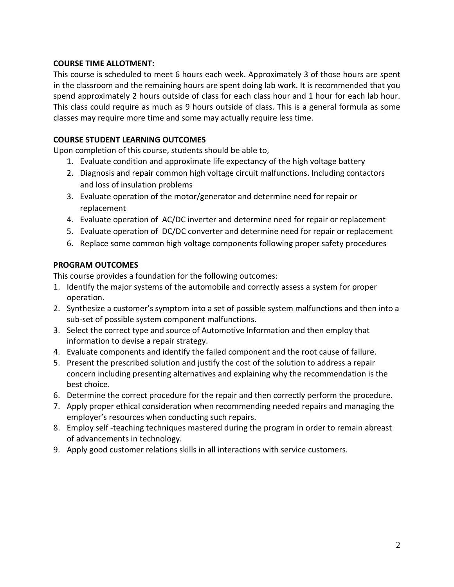# **COURSE TIME ALLOTMENT:**

This course is scheduled to meet 6 hours each week. Approximately 3 of those hours are spent in the classroom and the remaining hours are spent doing lab work. It is recommended that you spend approximately 2 hours outside of class for each class hour and 1 hour for each lab hour. This class could require as much as 9 hours outside of class. This is a general formula as some classes may require more time and some may actually require less time.

# **COURSE STUDENT LEARNING OUTCOMES**

Upon completion of this course, students should be able to,

- 1. Evaluate condition and approximate life expectancy of the high voltage battery
- 2. Diagnosis and repair common high voltage circuit malfunctions. Including contactors and loss of insulation problems
- 3. Evaluate operation of the motor/generator and determine need for repair or replacement
- 4. Evaluate operation of AC/DC inverter and determine need for repair or replacement
- 5. Evaluate operation of DC/DC converter and determine need for repair or replacement
- 6. Replace some common high voltage components following proper safety procedures

# **PROGRAM OUTCOMES**

This course provides a foundation for the following outcomes:

- 1. Identify the major systems of the automobile and correctly assess a system for proper operation.
- 2. Synthesize a customer's symptom into a set of possible system malfunctions and then into a sub-set of possible system component malfunctions.
- 3. Select the correct type and source of Automotive Information and then employ that information to devise a repair strategy.
- 4. Evaluate components and identify the failed component and the root cause of failure.
- 5. Present the prescribed solution and justify the cost of the solution to address a repair concern including presenting alternatives and explaining why the recommendation is the best choice.
- 6. Determine the correct procedure for the repair and then correctly perform the procedure.
- 7. Apply proper ethical consideration when recommending needed repairs and managing the employer's resources when conducting such repairs.
- 8. Employ self -teaching techniques mastered during the program in order to remain abreast of advancements in technology.
- 9. Apply good customer relations skills in all interactions with service customers.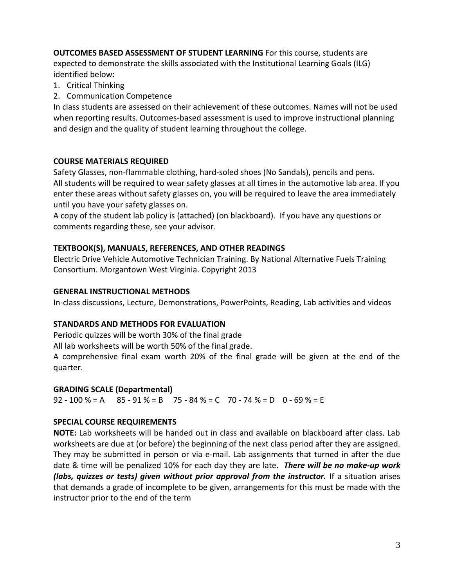**OUTCOMES BASED ASSESSMENT OF STUDENT LEARNING** For this course, students are expected to demonstrate the skills associated with the Institutional Learning Goals (ILG) identified below:

- 1. Critical Thinking
- 2. Communication Competence

In class students are assessed on their achievement of these outcomes. Names will not be used when reporting results. Outcomes-based assessment is used to improve instructional planning and design and the quality of student learning throughout the college.

# **COURSE MATERIALS REQUIRED**

Safety Glasses, non-flammable clothing, hard-soled shoes (No Sandals), pencils and pens. All students will be required to wear safety glasses at all times in the automotive lab area. If you enter these areas without safety glasses on, you will be required to leave the area immediately until you have your safety glasses on.

A copy of the student lab policy is (attached) (on blackboard). If you have any questions or comments regarding these, see your advisor.

# **TEXTBOOK(S), MANUALS, REFERENCES, AND OTHER READINGS**

Electric Drive Vehicle Automotive Technician Training. By National Alternative Fuels Training Consortium. Morgantown West Virginia. Copyright 2013

# **GENERAL INSTRUCTIONAL METHODS**

In-class discussions, Lecture, Demonstrations, PowerPoints, Reading, Lab activities and videos

# **STANDARDS AND METHODS FOR EVALUATION**

Periodic quizzes will be worth 30% of the final grade

All lab worksheets will be worth 50% of the final grade.

A comprehensive final exam worth 20% of the final grade will be given at the end of the quarter.

### **GRADING SCALE (Departmental)**

92 - 100 % = A 85 - 91 % = B 75 - 84 % = C 70 - 74 % = D 0 - 69 % = E

# **SPECIAL COURSE REQUIREMENTS**

**NOTE:** Lab worksheets will be handed out in class and available on blackboard after class. Lab worksheets are due at (or before) the beginning of the next class period after they are assigned. They may be submitted in person or via e-mail. Lab assignments that turned in after the due date & time will be penalized 10% for each day they are late. *There will be no make-up work (labs, quizzes or tests) given without prior approval from the instructor.* If a situation arises that demands a grade of incomplete to be given, arrangements for this must be made with the instructor prior to the end of the term